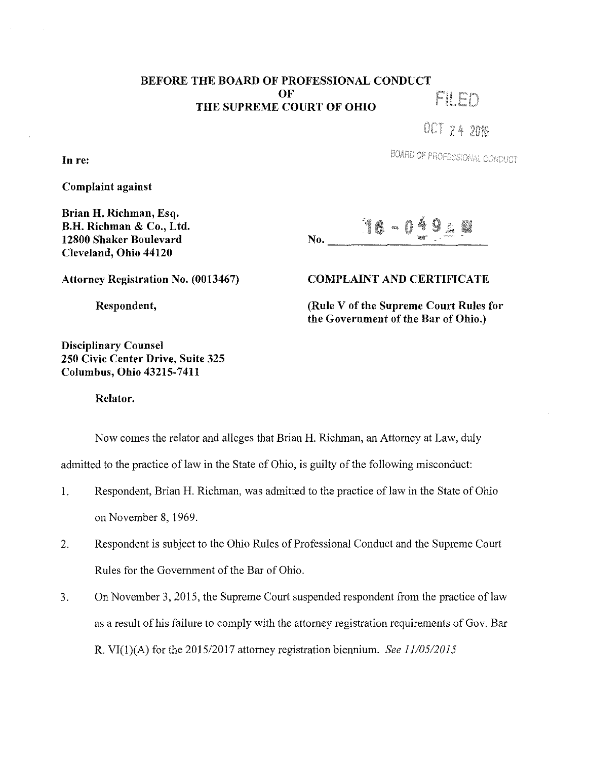## BEFORE THE BOARD OF PROFESSIONAL CONDUCT OF FIED THE SUPREME COURT OF OHIO

OCT 24 2016

BOARD OF PROFESSIONAL CONDUCT

Complaint against

Brian H. Richman, Esq. B.H. Richman & Co., Ltd. 12800 Shaker Boulevard Cleveland, Ohio 44120

16-049.8 No.

Attorney Registration No. (0013467)

Respondent,

Disciplinary Counsel 250 Civic Center Drive, Suite 325 Columbus, Ohio 43215-7411

COMPLAINT AND CERTIFICATE

(Rule V of the Supreme Court Rules for the Government of the Bar of Ohio.)

Relator.

Now comes the relator and alleges that Brian H. Richman, an Attorney at Law, duly

admitted to the practice of law in the State of Ohio, is guilty of the following misconduct:

- 1. Respondent, Brian H. Richman, was admitted to the practice of law in the State of Ohio on November 8, 1969.
- 2. Respondent is subject to the Ohio Rules of Professional Conduct and the Supreme Court Rules for the Government of the Bar of Ohio.
- 3. On November 3, 2015, the Supreme Court suspended respondent from the practice oflaw as a result of his failure to comply with the attorney registration requirements of Gov. Bar R. VI(l)(A) for the 2015/2017 attorney registration biennium. *See 11/05/2015*

In re: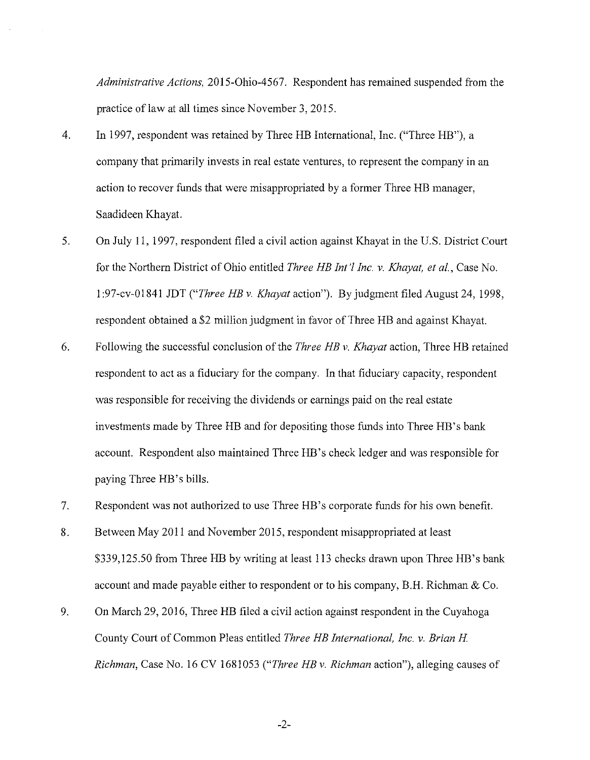*Administrative Actions,* 2015-0hio-4567. Respondent has remained suspended from the practice of law at all times since November 3, 2015.

- 4. In 1997, respondent was retained by Three HB International, Inc. ("Three HB"), a company that primarily invests in real estate ventures, to represent the company in an action to recover funds that were misappropriated by a former Three HB manager, Saadideen Khayat.
- 5. On July 11, 1997, respondent filed a civil action against Khayat in the U.S. District Court for the Northern District of Ohio entitled *Three HE Int* 'I *Inc. v. Khayat, et al.,* Case No. 1 :97-cv-O 1841 JDT *("Three HE v. Khayat* action"). By judgment filed August 24, 1998, respondent obtained a \$2 million judgment in favor of Three HB and against Khayat.
- 6. Following the successful conclusion of the *Three HE v. Khayat* action, Three HB retained respondent to act as a fiduciary for the company. In that fiduciary capacity, respondent was responsible for receiving the dividends or earnings paid on the real estate investments made by Three HB and for depositing those funds into Three HB's bank account. Respondent also maintained Three HB's check ledger and was responsible for paying Three HB 's bills.
- 7. Respondent was not authorized to use Three HB's corporate funds for his own benefit.
- 8. Between May 2011 and November 2015, respondent misappropriated at least \$339,125.50 from Three HB by writing at least 113 checks drawn upon Three HB's bank account and made payable either to respondent or to his company, B.H. Richman & Co.
- 9. On March 29, 2016, Three HB filed a civil action against respondent in the Cuyahoga County Court of Common Pleas entitled *Three HE International, Inc. v. Brian H Richman,* Case No. 16 CV 1681053 *("Three HE v. Richman* action"), alleging causes of

-2-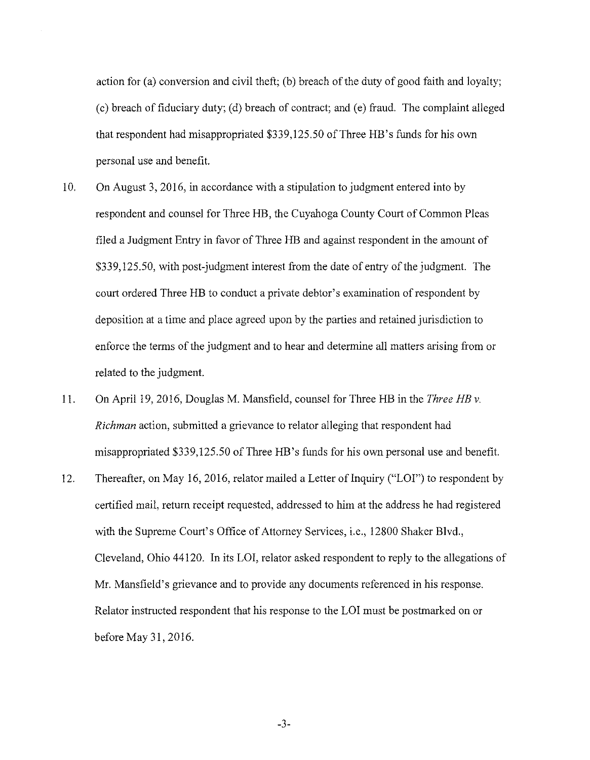action for (a) conversion and civil theft; (b) breach of the duty of good faith and loyalty; ( c) breach of fiduciary duty; ( d) breach of contract; and ( e) fraud. The complaint alleged that respondent had misappropriated \$339,125.50 of Three HB's funds for his own personal use and benefit.

- 10. On August 3, 2016, in accordance with a stipulation to judgment entered into by respondent and counsel for Three HB, the Cuyahoga County Court of Common Pleas filed a Judgment Entry in favor of Three HB and against respondent in the amount of \$339,125.50, with post-judgment interest from the date of entry of the judgment. The court ordered Three HB to conduct a private debtor's examination of respondent by deposition at a time and place agreed upon by the parties and retained jurisdiction to enforce the terms of the judgment and to hear and determine all matters arising from or related to the judgment.
- 11. On April 19, 2016, Douglas M. Mansfield, counsel for Three HB in the *Three HE v. Richman* action, submitted a grievance to relator alleging that respondent had misappropriated \$339,125.50 of Three HB's funds for his own personal use and benefit.
- 12. Thereafter, on May 16, 2016, relator mailed a Letter of Inquiry ("LOI") to respondent by certified mail, return receipt requested, addressed to him at the address he had registered with the Supreme Court's Office of Attorney Services, i.e., 12800 Shaker Blvd., Cleveland, Ohio 44120. In its LOI, relator asked respondent to reply to the allegations of Mr. Mansfield's grievance and to provide any documents referenced in his response. Relator instructed respondent that his response to the LOI must be postmarked on or before May 31, 2016.

-3-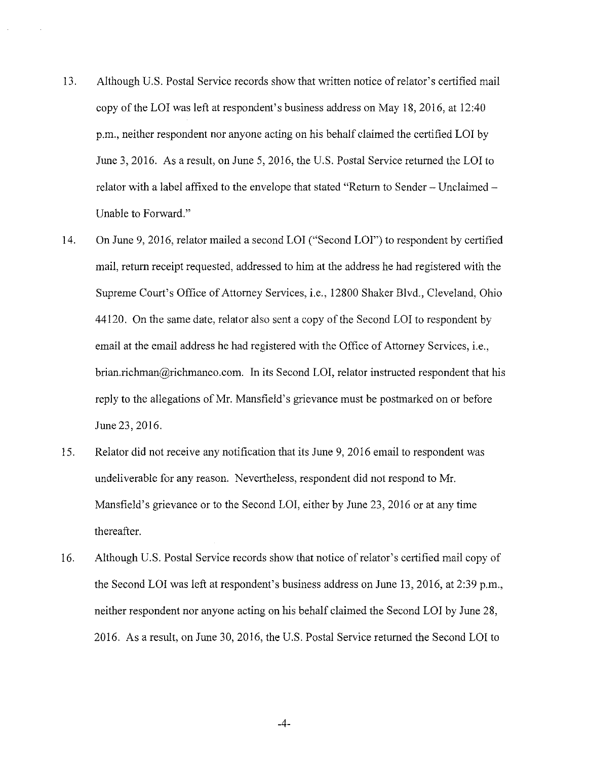- 13. Although U.S. Postal Service records show that written notice of relator's certified mail copy of the LOI was left at respondent's business address on May 18, 2016, at 12:40 p.m., neither respondent nor anyone acting on his behalf claimed the certified LOI by June 3, 2016. As a result, on June 5, 2016, the U.S. Postal Service returned the LOI to relator with a label affixed to the envelope that stated "Return to Sender - Unclaimed - Unable to Forward."
- 14. On June 9, 2016, relator mailed a second LOI ("Second LOI") to respondent by certified mail, return receipt requested, addressed to him at the address he had registered with the Supreme Court's Office of Attorney Services, i.e., 12800 Shaker Blvd., Cleveland, Ohio 44120. On the same date, relator also sent a copy of the Second LOI to respondent by email at the email address he had registered with the Office of Attorney Services, i.e., brian.richman@richmanco.com. In its Second LOI, relator instructed respondent that his reply to the allegations of Mr. Mansfield's grievance must be postmarked on or before June 23, 2016.
- 15. Relator did not receive any notification that its June 9, 2016 email to respondent was undeliverable for any reason. Nevertheless, respondent did not respond to Mr. Mansfield's grievance or to the Second LOI, either by June 23, 2016 or at any time thereafter.
- 16. Although U.S. Postal Service records show that notice of relator's certified mail copy of the Second LOI was left at respondent's business address on June 13, 2016, at 2:39 p.m., neither respondent nor anyone acting on his behalf claimed the Second LOI by June 28, 2016. As a result, on June 30, 2016, the U.S. Postal Service returned the Second LOI to

-4-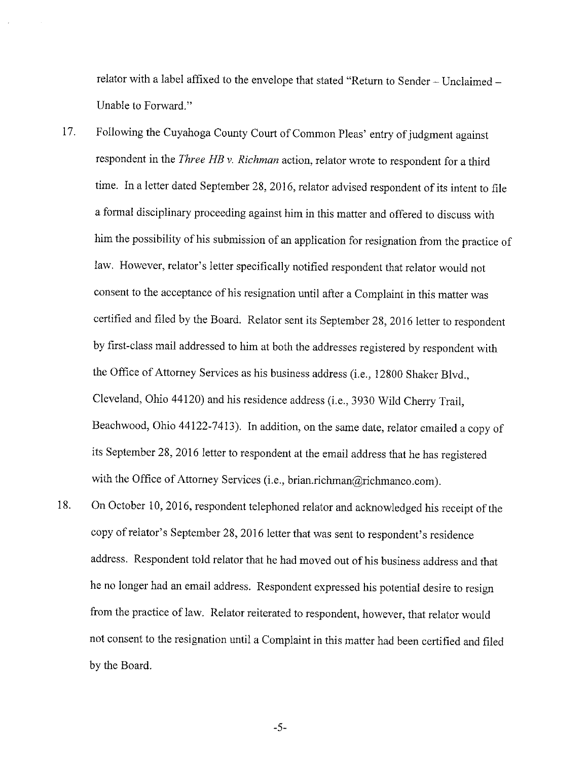relator with a label affixed to the envelope that stated "Return to Sender - Unclaimed - Unable to Forward."

- 17. Following the Cuyahoga County Court of Common Pleas' entry of judgment against respondent in the *Three HB v. Richman* action, relator wrote to respondent for a third time. In a letter dated September 28, 2016, relator advised respondent of its intent to file a formal disciplinary proceeding against him in this matter and offered to discuss with him the possibility of his submission of an application for resignation from the practice of law. However, relator's Jetter specifically notified respondent that relator would not consent to the acceptance of his resignation until after a Complaint in this matter was certified and filed by the Board. Relator sent its September 28, 2016 letter to respondent by first-class mail addressed to him at both the addresses registered by respondent with the Office of Attorney Services as his business address (i.e., 12800 Shaker Blvd., Cleveland, Ohio 44120) and his residence address (i.e., 3930 Wild Cherry Trail, Beachwood, Ohio 44122-7413). In addition, on the same date, relator emailed a copy of its September 28, 2016 letter to respondent at the email address that he has registered with the Office of Attorney Services (i.e., brian.richman@richmanco.com).
- 18. On October 10, 2016, respondent telephoned relator and acknowledged his receipt of the copy of relator's September 28, 2016 letter that was sent to respondent's residence address. Respondent told relator that he had moved out of his business address and that he no longer had an email address. Respondent expressed his potential desire to resign from the practice of Jaw. Relator reiterated to respondent, however, that relator would not consent to the resignation until a Complaint in this matter had been certified and filed by the Board.

-5-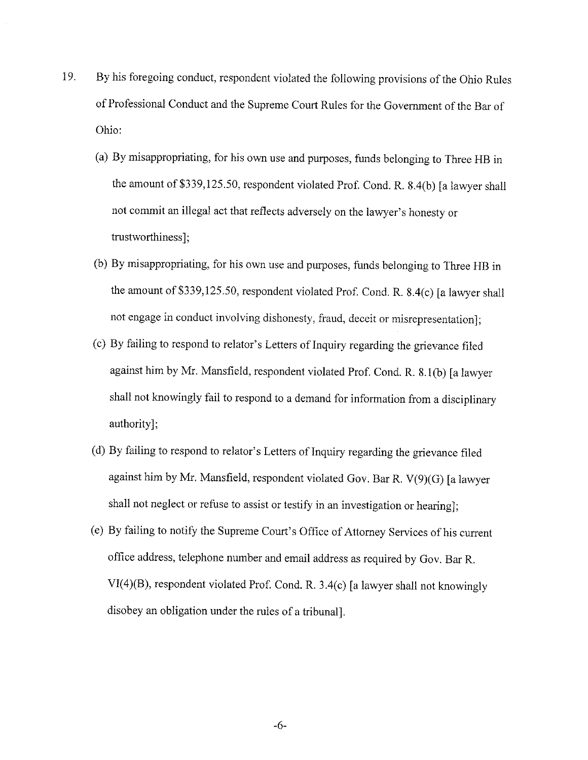- 19. By his foregoing conduct, respondent violated the following provisions of the Ohio Rules of Professional Conduct and the Supreme Court Rules for the Government of the Bar of Ohio:
	- (a) By misappropriating, for his own use and purposes, funds belonging to Three HB in the amount of \$339,125.50, respondent violated Prof. Cond. R. 8.4(b) [a lawyer shall not commit an illegal act that reflects adversely on the lawyer's honesty or trustworthiness];
	- (b) By misappropriating, for his own use and purposes, funds belonging to Three HB in the amount of \$339,125.50, respondent violated Prof. Cond. R. 8.4(c) [a lawyer shall not engage in conduct involving dishonesty, fraud, deceit or misrepresentation];
	- (c) By failing to respond to relator's Letters of Inquiry regarding the grievance filed against him by Mr. Mansfield, respondent violated Prof. Cond. R. 8.1(b) [a lawyer shall not knowingly fail to respond to a demand for information from a disciplinary authority];
	- ( d) By failing to respond to relator's Letters of Inquiry regarding the grievance filed against him by Mr. Mansfield, respondent violated Gov. Bar R. V(9)(G) [a lawyer shall not neglect or refuse to assist or testify in an investigation or hearing];
	- (e) By failing to notify the Supreme Court's Office of Attorney Services of his current office address, telephone number and email address as required by Gov. Bar R. VI(4)(B), respondent violated Prof. Cond. R. 3.4(c) [a lawyer shall not knowingly disobey an obligation under the rules of a tribunal].

-6-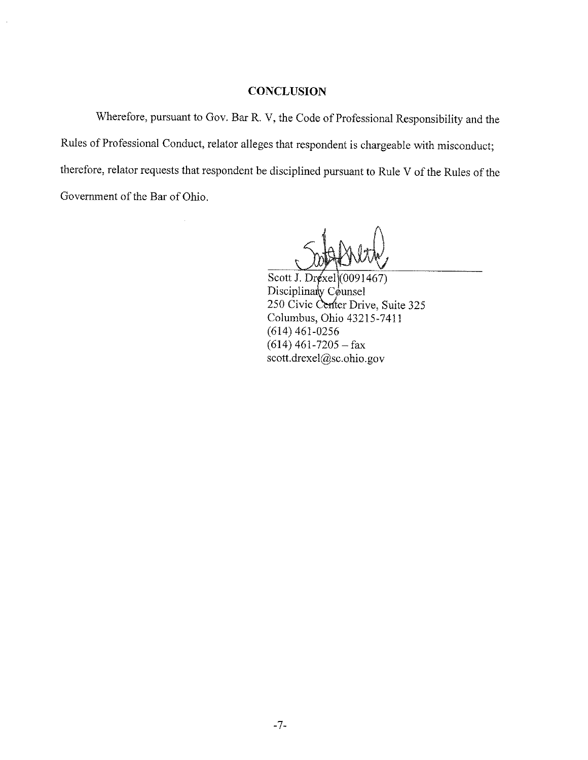## **CONCLUSION**

Wherefore, pursuant to Gov. Bar R. V, the Code of Professional Responsibility and the Rules of Professional Conduct, relator alleges that respondent is chargeable with misconduct; therefore, relator requests that respondent be disciplined pursuant to Rule V of the Rules of the Government of the Bar of Ohio.

Scott J. Dr $(x \leq 1)$  (0091467) Disciplinary Counsel 250 Civic Center Drive, Suite 325 Columbus, Ohio 43215-7411 (614) 461-0256  $(614)$  461-7205 - fax scott.drexel@sc.ohio.gov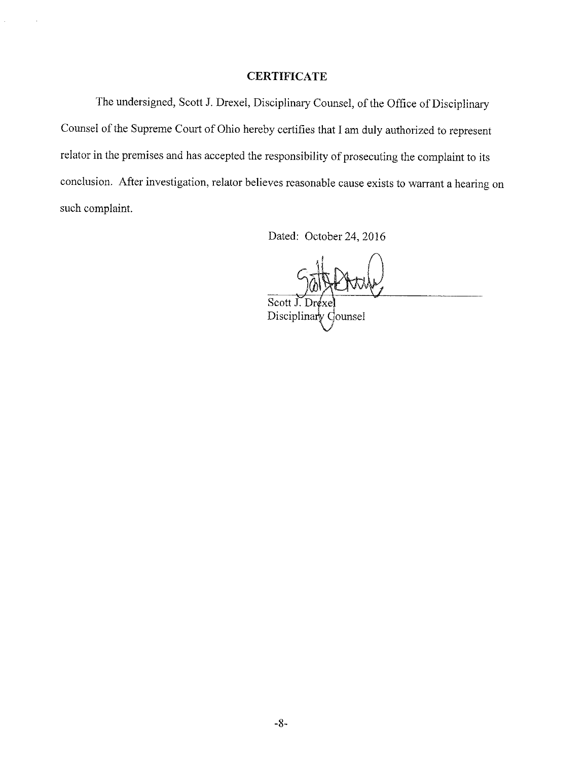## **CERTIFICATE**

The undersigned, Scott J. Drexel, Disciplinary Counsel, of the Office of Disciplinary Counsel of the Supreme Court of Ohio hereby certifies that I am duly authorized to represent relator in the premises and has accepted the responsibility of prosecuting the complaint to its conclusion. After investigation, relator believes reasonable cause exists to warrant a hearing on such complaint.

Dated: October 24, 2016

Scott J. Drexe Disciplinary Counsel